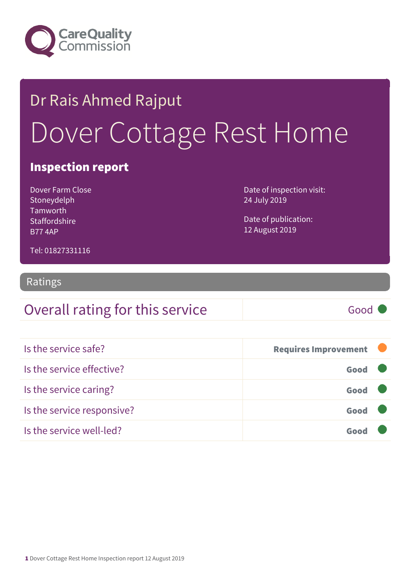

## Dr Rais Ahmed Rajput Dover Cottage Rest Home

#### Inspection report

Dover Farm Close Stoneydelph Tamworth **Staffordshire** B77 4AP

Date of inspection visit: 24 July 2019

Date of publication: 12 August 2019

Tel: 01827331116

#### Ratings

### Overall rating for this service Good

| Is the service safe?       | <b>Requires Improvement</b> |  |
|----------------------------|-----------------------------|--|
| Is the service effective?  | Good                        |  |
| Is the service caring?     | Good                        |  |
| Is the service responsive? | Good                        |  |
| Is the service well-led?   |                             |  |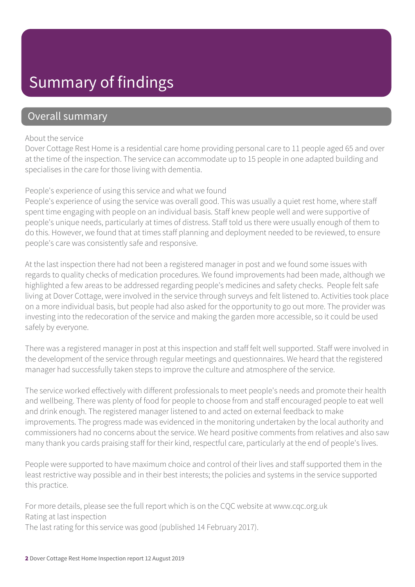### Summary of findings

#### Overall summary

#### About the service

Dover Cottage Rest Home is a residential care home providing personal care to 11 people aged 65 and over at the time of the inspection. The service can accommodate up to 15 people in one adapted building and specialises in the care for those living with dementia.

#### People's experience of using this service and what we found

People's experience of using the service was overall good. This was usually a quiet rest home, where staff spent time engaging with people on an individual basis. Staff knew people well and were supportive of people's unique needs, particularly at times of distress. Staff told us there were usually enough of them to do this. However, we found that at times staff planning and deployment needed to be reviewed, to ensure people's care was consistently safe and responsive.

At the last inspection there had not been a registered manager in post and we found some issues with regards to quality checks of medication procedures. We found improvements had been made, although we highlighted a few areas to be addressed regarding people's medicines and safety checks. People felt safe living at Dover Cottage, were involved in the service through surveys and felt listened to. Activities took place on a more individual basis, but people had also asked for the opportunity to go out more. The provider was investing into the redecoration of the service and making the garden more accessible, so it could be used safely by everyone.

There was a registered manager in post at this inspection and staff felt well supported. Staff were involved in the development of the service through regular meetings and questionnaires. We heard that the registered manager had successfully taken steps to improve the culture and atmosphere of the service.

The service worked effectively with different professionals to meet people's needs and promote their health and wellbeing. There was plenty of food for people to choose from and staff encouraged people to eat well and drink enough. The registered manager listened to and acted on external feedback to make improvements. The progress made was evidenced in the monitoring undertaken by the local authority and commissioners had no concerns about the service. We heard positive comments from relatives and also saw many thank you cards praising staff for their kind, respectful care, particularly at the end of people's lives.

People were supported to have maximum choice and control of their lives and staff supported them in the least restrictive way possible and in their best interests; the policies and systems in the service supported this practice.

For more details, please see the full report which is on the CQC website at www.cqc.org.uk Rating at last inspection The last rating for this service was good (published 14 February 2017).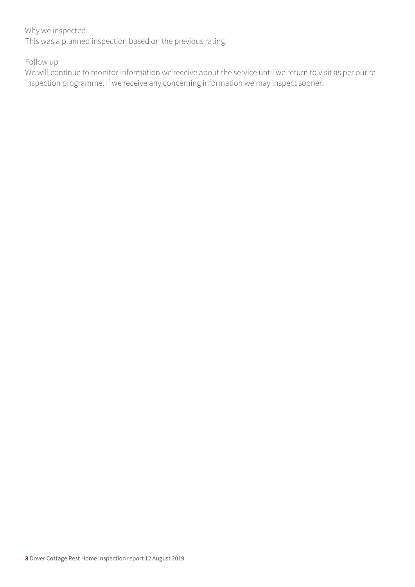#### Why we inspected

This was a planned inspection based on the previous rating.

Follow up

We will continue to monitor information we receive about the service until we return to visit as per our reinspection programme. If we receive any concerning information we may inspect sooner.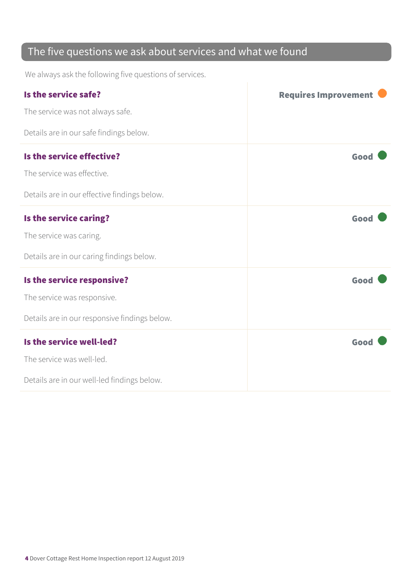### The five questions we ask about services and what we found

We always ask the following five questions of services.

| Is the service safe?                          | <b>Requires Improvement</b> |
|-----------------------------------------------|-----------------------------|
| The service was not always safe.              |                             |
| Details are in our safe findings below.       |                             |
| Is the service effective?                     | Good                        |
| The service was effective.                    |                             |
| Details are in our effective findings below.  |                             |
| Is the service caring?                        | Good                        |
| The service was caring.                       |                             |
| Details are in our caring findings below.     |                             |
| Is the service responsive?                    | Good                        |
| The service was responsive.                   |                             |
| Details are in our responsive findings below. |                             |
| Is the service well-led?                      | Good                        |
| The service was well-led.                     |                             |
| Details are in our well-led findings below.   |                             |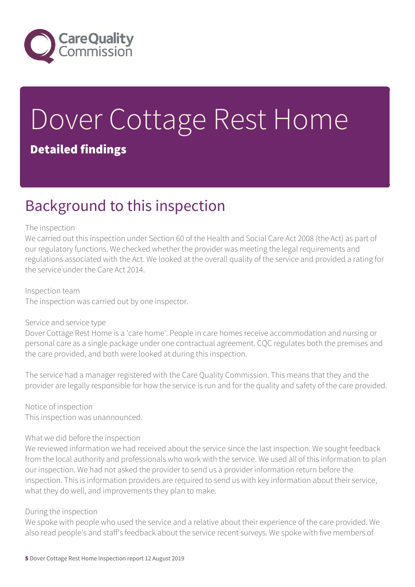

# Dover Cottage Rest Home

#### Detailed findings

### Background to this inspection

#### The inspection

We carried out this inspection under Section 60 of the Health and Social Care Act 2008 (the Act) as part of our regulatory functions. We checked whether the provider was meeting the legal requirements and regulations associated with the Act. We looked at the overall quality of the service and provided a rating for the service under the Care Act 2014.

Inspection team The inspection was carried out by one inspector.

#### Service and service type

Dover Cottage Rest Home is a 'care home'. People in care homes receive accommodation and nursing or personal care as a single package under one contractual agreement. CQC regulates both the premises and the care provided, and both were looked at during this inspection.

The service had a manager registered with the Care Quality Commission. This means that they and the provider are legally responsible for how the service is run and for the quality and safety of the care provided.

Notice of inspection This inspection was unannounced.

#### What we did before the inspection

We reviewed information we had received about the service since the last inspection. We sought feedback from the local authority and professionals who work with the service. We used all of this information to plan our inspection. We had not asked the provider to send us a provider information return before the inspection. This is information providers are required to send us with key information about their service, what they do well, and improvements they plan to make.

#### During the inspection

We spoke with people who used the service and a relative about their experience of the care provided. We also read people's and staff's feedback about the service recent surveys. We spoke with five members of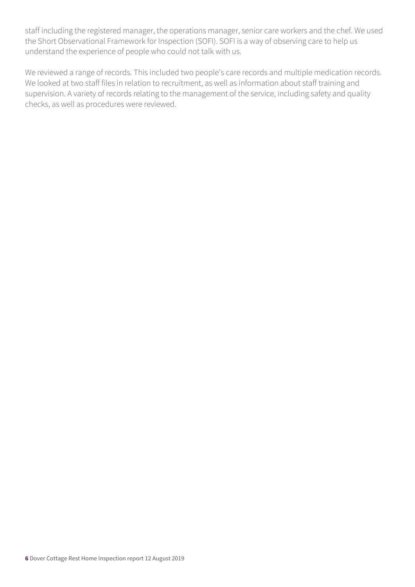staff including the registered manager, the operations manager, senior care workers and the chef. We used the Short Observational Framework for Inspection (SOFI). SOFI is a way of observing care to help us understand the experience of people who could not talk with us.

We reviewed a range of records. This included two people's care records and multiple medication records. We looked at two staff files in relation to recruitment, as well as information about staff training and supervision. A variety of records relating to the management of the service, including safety and quality checks, as well as procedures were reviewed.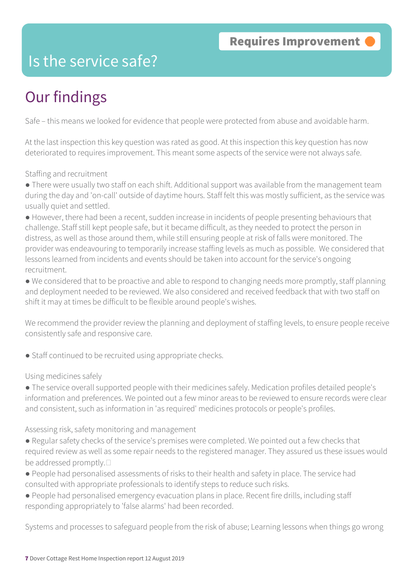### Is the service safe?

### Our findings

Safe – this means we looked for evidence that people were protected from abuse and avoidable harm.

At the last inspection this key question was rated as good. At this inspection this key question has now deteriorated to requires improvement. This meant some aspects of the service were not always safe.

Staffing and recruitment

● There were usually two staff on each shift. Additional support was available from the management team during the day and 'on-call' outside of daytime hours. Staff felt this was mostly sufficient, as the service was usually quiet and settled.

● However, there had been a recent, sudden increase in incidents of people presenting behaviours that challenge. Staff still kept people safe, but it became difficult, as they needed to protect the person in distress, as well as those around them, while still ensuring people at risk of falls were monitored. The provider was endeavouring to temporarily increase staffing levels as much as possible. We considered that lessons learned from incidents and events should be taken into account for the service's ongoing recruitment.

● We considered that to be proactive and able to respond to changing needs more promptly, staff planning and deployment needed to be reviewed. We also considered and received feedback that with two staff on shift it may at times be difficult to be flexible around people's wishes.

We recommend the provider review the planning and deployment of staffing levels, to ensure people receive consistently safe and responsive care.

● Staff continued to be recruited using appropriate checks.

Using medicines safely

● The service overall supported people with their medicines safely. Medication profiles detailed people's information and preferences. We pointed out a few minor areas to be reviewed to ensure records were clear and consistent, such as information in 'as required' medicines protocols or people's profiles.

Assessing risk, safety monitoring and management

● Regular safety checks of the service's premises were completed. We pointed out a few checks that required review as well as some repair needs to the registered manager. They assured us these issues would be addressed promptly. $\square$ 

● People had personalised assessments of risks to their health and safety in place. The service had consulted with appropriate professionals to identify steps to reduce such risks.

● People had personalised emergency evacuation plans in place. Recent fire drills, including staff responding appropriately to 'false alarms' had been recorded.

Systems and processes to safeguard people from the risk of abuse; Learning lessons when things go wrong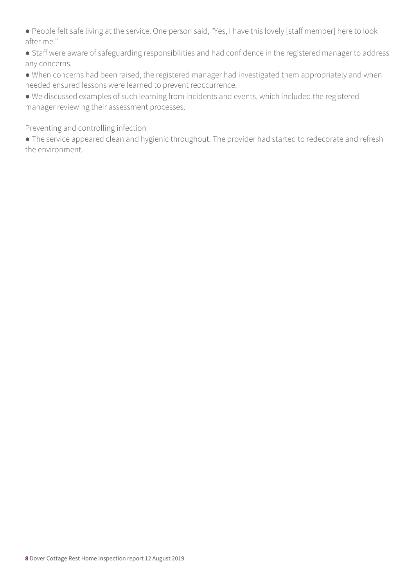● People felt safe living at the service. One person said, "Yes, I have this lovely [staff member] here to look after me."

● Staff were aware of safeguarding responsibilities and had confidence in the registered manager to address any concerns.

● When concerns had been raised, the registered manager had investigated them appropriately and when needed ensured lessons were learned to prevent reoccurrence.

● We discussed examples of such learning from incidents and events, which included the registered manager reviewing their assessment processes.

Preventing and controlling infection

● The service appeared clean and hygienic throughout. The provider had started to redecorate and refresh the environment.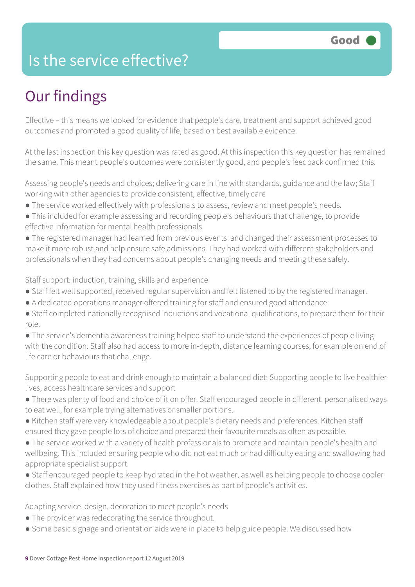### Is the service effective?

### Our findings

Effective – this means we looked for evidence that people's care, treatment and support achieved good outcomes and promoted a good quality of life, based on best available evidence.

At the last inspection this key question was rated as good. At this inspection this key question has remained the same. This meant people's outcomes were consistently good, and people's feedback confirmed this.

Assessing people's needs and choices; delivering care in line with standards, guidance and the law; Staff working with other agencies to provide consistent, effective, timely care

- The service worked effectively with professionals to assess, review and meet people's needs.
- This included for example assessing and recording people's behaviours that challenge, to provide effective information for mental health professionals.
- The registered manager had learned from previous events and changed their assessment processes to make it more robust and help ensure safe admissions. They had worked with different stakeholders and professionals when they had concerns about people's changing needs and meeting these safely.

Staff support: induction, training, skills and experience

- Staff felt well supported, received regular supervision and felt listened to by the registered manager.
- A dedicated operations manager offered training for staff and ensured good attendance.
- Staff completed nationally recognised inductions and vocational qualifications, to prepare them for their role.

● The service's dementia awareness training helped staff to understand the experiences of people living with the condition. Staff also had access to more in-depth, distance learning courses, for example on end of life care or behaviours that challenge.

Supporting people to eat and drink enough to maintain a balanced diet; Supporting people to live healthier lives, access healthcare services and support

- There was plenty of food and choice of it on offer. Staff encouraged people in different, personalised ways to eat well, for example trying alternatives or smaller portions.
- Kitchen staff were very knowledgeable about people's dietary needs and preferences. Kitchen staff ensured they gave people lots of choice and prepared their favourite meals as often as possible.
- The service worked with a variety of health professionals to promote and maintain people's health and wellbeing. This included ensuring people who did not eat much or had difficulty eating and swallowing had appropriate specialist support.
- Staff encouraged people to keep hydrated in the hot weather, as well as helping people to choose cooler clothes. Staff explained how they used fitness exercises as part of people's activities.

Adapting service, design, decoration to meet people's needs

- The provider was redecorating the service throughout.
- Some basic signage and orientation aids were in place to help guide people. We discussed how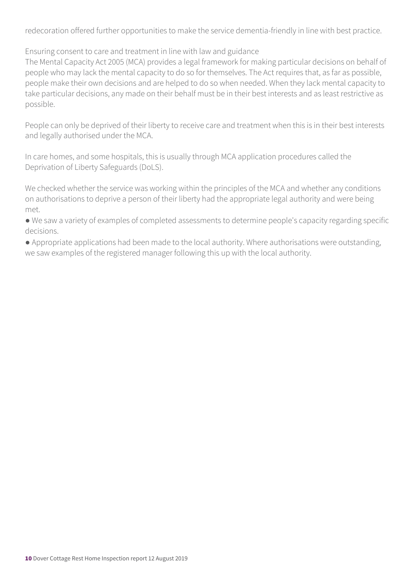redecoration offered further opportunities to make the service dementia-friendly in line with best practice.

Ensuring consent to care and treatment in line with law and guidance

The Mental Capacity Act 2005 (MCA) provides a legal framework for making particular decisions on behalf of people who may lack the mental capacity to do so for themselves. The Act requires that, as far as possible, people make their own decisions and are helped to do so when needed. When they lack mental capacity to take particular decisions, any made on their behalf must be in their best interests and as least restrictive as possible.

People can only be deprived of their liberty to receive care and treatment when this is in their best interests and legally authorised under the MCA.

In care homes, and some hospitals, this is usually through MCA application procedures called the Deprivation of Liberty Safeguards (DoLS).

We checked whether the service was working within the principles of the MCA and whether any conditions on authorisations to deprive a person of their liberty had the appropriate legal authority and were being met.

● We saw a variety of examples of completed assessments to determine people's capacity regarding specific decisions.

● Appropriate applications had been made to the local authority. Where authorisations were outstanding, we saw examples of the registered manager following this up with the local authority.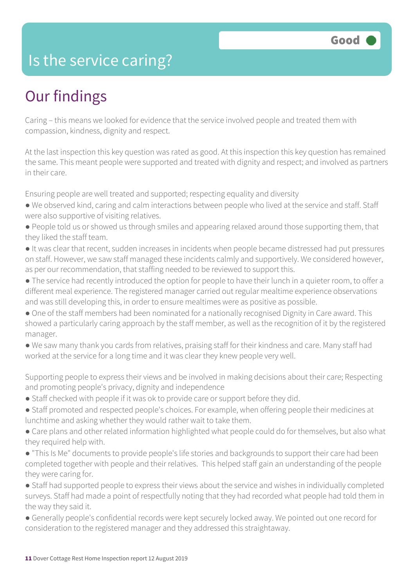### Is the service caring?

### Our findings

Caring – this means we looked for evidence that the service involved people and treated them with compassion, kindness, dignity and respect.

At the last inspection this key question was rated as good. At this inspection this key question has remained the same. This meant people were supported and treated with dignity and respect; and involved as partners in their care.

Ensuring people are well treated and supported; respecting equality and diversity

- We observed kind, caring and calm interactions between people who lived at the service and staff. Staff were also supportive of visiting relatives.
- People told us or showed us through smiles and appearing relaxed around those supporting them, that they liked the staff team.
- It was clear that recent, sudden increases in incidents when people became distressed had put pressures on staff. However, we saw staff managed these incidents calmly and supportively. We considered however, as per our recommendation, that staffing needed to be reviewed to support this.
- The service had recently introduced the option for people to have their lunch in a quieter room, to offer a different meal experience. The registered manager carried out regular mealtime experience observations and was still developing this, in order to ensure mealtimes were as positive as possible.
- One of the staff members had been nominated for a nationally recognised Dignity in Care award. This showed a particularly caring approach by the staff member, as well as the recognition of it by the registered manager.
- We saw many thank you cards from relatives, praising staff for their kindness and care. Many staff had worked at the service for a long time and it was clear they knew people very well.

Supporting people to express their views and be involved in making decisions about their care; Respecting and promoting people's privacy, dignity and independence

- Staff checked with people if it was ok to provide care or support before they did.
- Staff promoted and respected people's choices. For example, when offering people their medicines at lunchtime and asking whether they would rather wait to take them.
- Care plans and other related information highlighted what people could do for themselves, but also what they required help with.
- "This Is Me" documents to provide people's life stories and backgrounds to support their care had been completed together with people and their relatives. This helped staff gain an understanding of the people they were caring for.
- Staff had supported people to express their views about the service and wishes in individually completed surveys. Staff had made a point of respectfully noting that they had recorded what people had told them in the way they said it.
- Generally people's confidential records were kept securely locked away. We pointed out one record for consideration to the registered manager and they addressed this straightaway.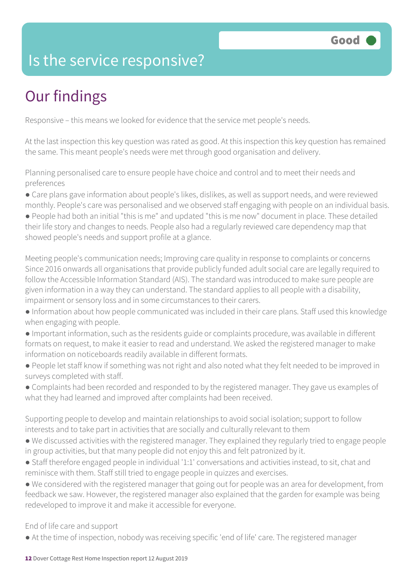### Is the service responsive?

### Our findings

Responsive – this means we looked for evidence that the service met people's needs.

At the last inspection this key question was rated as good. At this inspection this key question has remained the same. This meant people's needs were met through good organisation and delivery.

Planning personalised care to ensure people have choice and control and to meet their needs and preferences

● Care plans gave information about people's likes, dislikes, as well as support needs, and were reviewed monthly. People's care was personalised and we observed staff engaging with people on an individual basis.

● People had both an initial "this is me" and updated "this is me now" document in place. These detailed their life story and changes to needs. People also had a regularly reviewed care dependency map that showed people's needs and support profile at a glance.

Meeting people's communication needs; Improving care quality in response to complaints or concerns Since 2016 onwards all organisations that provide publicly funded adult social care are legally required to follow the Accessible Information Standard (AIS). The standard was introduced to make sure people are given information in a way they can understand. The standard applies to all people with a disability, impairment or sensory loss and in some circumstances to their carers.

- Information about how people communicated was included in their care plans. Staff used this knowledge when engaging with people.
- Important information, such as the residents guide or complaints procedure, was available in different formats on request, to make it easier to read and understand. We asked the registered manager to make information on noticeboards readily available in different formats.
- People let staff know if something was not right and also noted what they felt needed to be improved in surveys completed with staff.
- Complaints had been recorded and responded to by the registered manager. They gave us examples of what they had learned and improved after complaints had been received.

Supporting people to develop and maintain relationships to avoid social isolation; support to follow interests and to take part in activities that are socially and culturally relevant to them

- We discussed activities with the registered manager. They explained they regularly tried to engage people in group activities, but that many people did not enjoy this and felt patronized by it.
- Staff therefore engaged people in individual '1:1' conversations and activities instead, to sit, chat and reminisce with them. Staff still tried to engage people in quizzes and exercises.
- We considered with the registered manager that going out for people was an area for development, from feedback we saw. However, the registered manager also explained that the garden for example was being redeveloped to improve it and make it accessible for everyone.

End of life care and support

• At the time of inspection, nobody was receiving specific 'end of life' care. The registered manager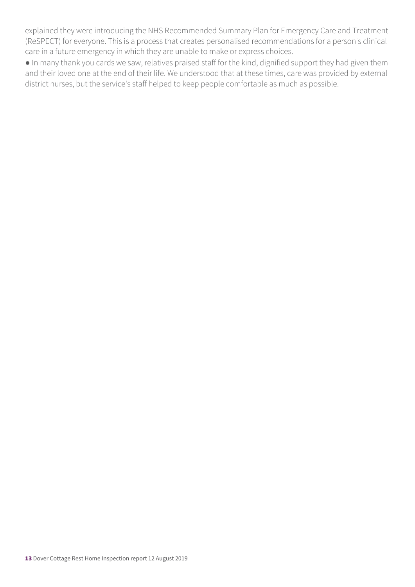explained they were introducing the NHS Recommended Summary Plan for Emergency Care and Treatment (ReSPECT) for everyone. This is a process that creates personalised recommendations for a person's clinical care in a future emergency in which they are unable to make or express choices.

● In many thank you cards we saw, relatives praised staff for the kind, dignified support they had given them and their loved one at the end of their life. We understood that at these times, care was provided by external district nurses, but the service's staff helped to keep people comfortable as much as possible.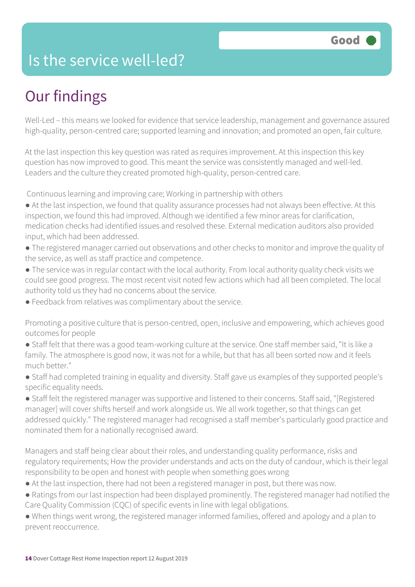### Is the service well-led?

### Our findings

Well-Led – this means we looked for evidence that service leadership, management and governance assured high-quality, person-centred care; supported learning and innovation; and promoted an open, fair culture.

At the last inspection this key question was rated as requires improvement. At this inspection this key question has now improved to good. This meant the service was consistently managed and well-led. Leaders and the culture they created promoted high-quality, person-centred care.

Continuous learning and improving care; Working in partnership with others

- At the last inspection, we found that quality assurance processes had not always been effective. At this inspection, we found this had improved. Although we identified a few minor areas for clarification, medication checks had identified issues and resolved these. External medication auditors also provided input, which had been addressed.
- The registered manager carried out observations and other checks to monitor and improve the quality of the service, as well as staff practice and competence.
- The service was in regular contact with the local authority. From local authority quality check visits we could see good progress. The most recent visit noted few actions which had all been completed. The local authority told us they had no concerns about the service.
- Feedback from relatives was complimentary about the service.
- Promoting a positive culture that is person-centred, open, inclusive and empowering, which achieves good outcomes for people
- Staff felt that there was a good team-working culture at the service. One staff member said, "It is like a family. The atmosphere is good now, it was not for a while, but that has all been sorted now and it feels much better."
- Staff had completed training in equality and diversity. Staff gave us examples of they supported people's specific equality needs.
- Staff felt the registered manager was supportive and listened to their concerns. Staff said, "[Registered manager] will cover shifts herself and work alongside us. We all work together, so that things can get addressed quickly." The registered manager had recognised a staff member's particularly good practice and nominated them for a nationally recognised award.

Managers and staff being clear about their roles, and understanding quality performance, risks and regulatory requirements; How the provider understands and acts on the duty of candour, which is their legal responsibility to be open and honest with people when something goes wrong

- At the last inspection, there had not been a registered manager in post, but there was now.
- Ratings from our last inspection had been displayed prominently. The registered manager had notified the Care Quality Commission (CQC) of specific events in line with legal obligations.
- When things went wrong, the registered manager informed families, offered and apology and a plan to prevent reoccurrence.